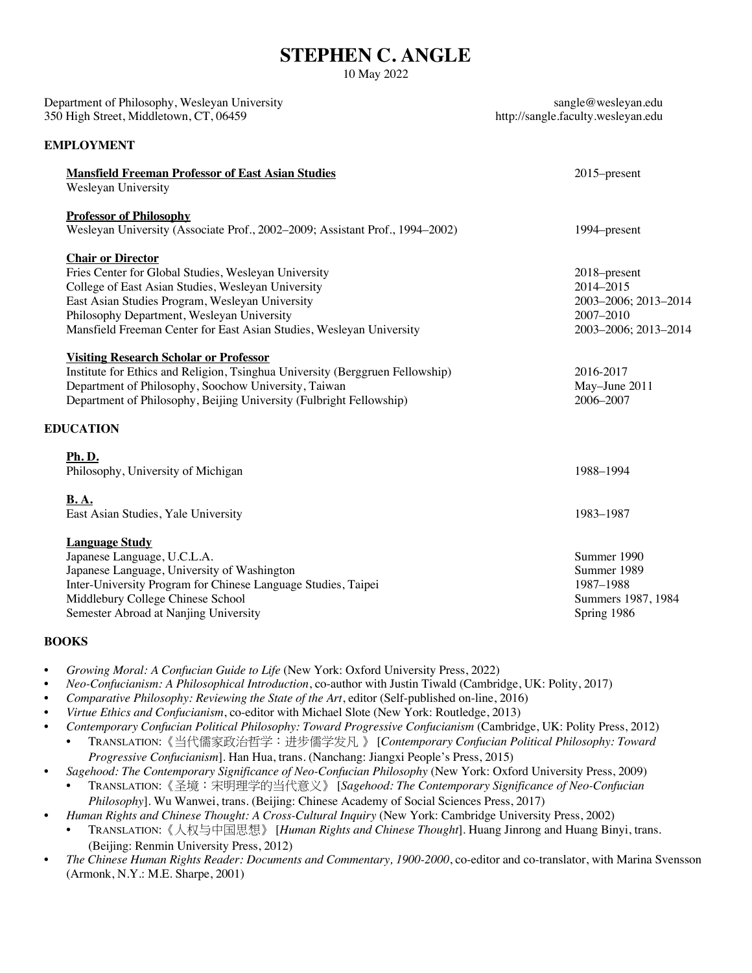# **STEPHEN C. ANGLE**

10 May 2022

| Department of Philosophy, Wesleyan University<br>350 High Street, Middletown, CT, 06459                                                                                                                                                                                                                         | sangle@wesleyan.edu<br>http://sangle.faculty.wesleyan.edu                              |
|-----------------------------------------------------------------------------------------------------------------------------------------------------------------------------------------------------------------------------------------------------------------------------------------------------------------|----------------------------------------------------------------------------------------|
| <b>EMPLOYMENT</b>                                                                                                                                                                                                                                                                                               |                                                                                        |
| <b>Mansfield Freeman Professor of East Asian Studies</b><br>Wesleyan University                                                                                                                                                                                                                                 | 2015–present                                                                           |
| <b>Professor of Philosophy</b><br>Wesleyan University (Associate Prof., 2002-2009; Assistant Prof., 1994-2002)                                                                                                                                                                                                  | 1994–present                                                                           |
| <b>Chair or Director</b><br>Fries Center for Global Studies, Wesleyan University<br>College of East Asian Studies, Wesleyan University<br>East Asian Studies Program, Wesleyan University<br>Philosophy Department, Wesleyan University<br>Mansfield Freeman Center for East Asian Studies, Wesleyan University | 2018-present<br>2014-2015<br>2003-2006; 2013-2014<br>2007-2010<br>2003-2006; 2013-2014 |
| <b>Visiting Research Scholar or Professor</b><br>Institute for Ethics and Religion, Tsinghua University (Berggruen Fellowship)<br>Department of Philosophy, Soochow University, Taiwan<br>Department of Philosophy, Beijing University (Fulbright Fellowship)                                                   | 2016-2017<br>May-June 2011<br>2006-2007                                                |
| <b>EDUCATION</b>                                                                                                                                                                                                                                                                                                |                                                                                        |
| <b>Ph.D.</b><br>Philosophy, University of Michigan                                                                                                                                                                                                                                                              | 1988-1994                                                                              |
| <b>B.A.</b><br>East Asian Studies, Yale University                                                                                                                                                                                                                                                              | 1983-1987                                                                              |
| <b>Language Study</b><br>Japanese Language, U.C.L.A.<br>Japanese Language, University of Washington<br>Inter-University Program for Chinese Language Studies, Taipei<br>Middlebury College Chinese School<br>Semester Abroad at Nanjing University                                                              | Summer 1990<br>Summer 1989<br>1987-1988<br>Summers 1987, 1984<br>Spring 1986           |

### **BOOKS**

- *Growing Moral: A Confucian Guide to Life* (New York: Oxford University Press, 2022)
- *Neo-Confucianism: A Philosophical Introduction*, co-author with Justin Tiwald (Cambridge, UK: Polity, 2017)
- *Comparative Philosophy: Reviewing the State of the Art*, editor (Self-published on-line, 2016)
- *Virtue Ethics and Confucianism*, co-editor with Michael Slote (New York: Routledge, 2013)
- *Contemporary Confucian Political Philosophy: Toward Progressive Confucianism* (Cambridge, UK: Polity Press, 2012)
- TRANSLATION:《当代儒家政治哲学:进步儒学发凡 》 [*Contemporary Confucian Political Philosophy: Toward Progressive Confucianism*]. Han Hua, trans. (Nanchang: Jiangxi People's Press, 2015)
- *Sagehood: The Contemporary Significance of Neo-Confucian Philosophy* (New York: Oxford University Press, 2009)
- TRANSLATION:《圣境:宋明理学的当代意义》 [*Sagehood: The Contemporary Significance of Neo-Confucian Philosophy*]. Wu Wanwei, trans. (Beijing: Chinese Academy of Social Sciences Press, 2017)
- *Human Rights and Chinese Thought: A Cross-Cultural Inquiry* (New York: Cambridge University Press, 2002)
- TRANSLATION:《人权与中国思想》 [*Human Rights and Chinese Thought*]. Huang Jinrong and Huang Binyi, trans. (Beijing: Renmin University Press, 2012)
- *The Chinese Human Rights Reader: Documents and Commentary, 1900-2000*, co-editor and co-translator, with Marina Svensson (Armonk, N.Y.: M.E. Sharpe, 2001)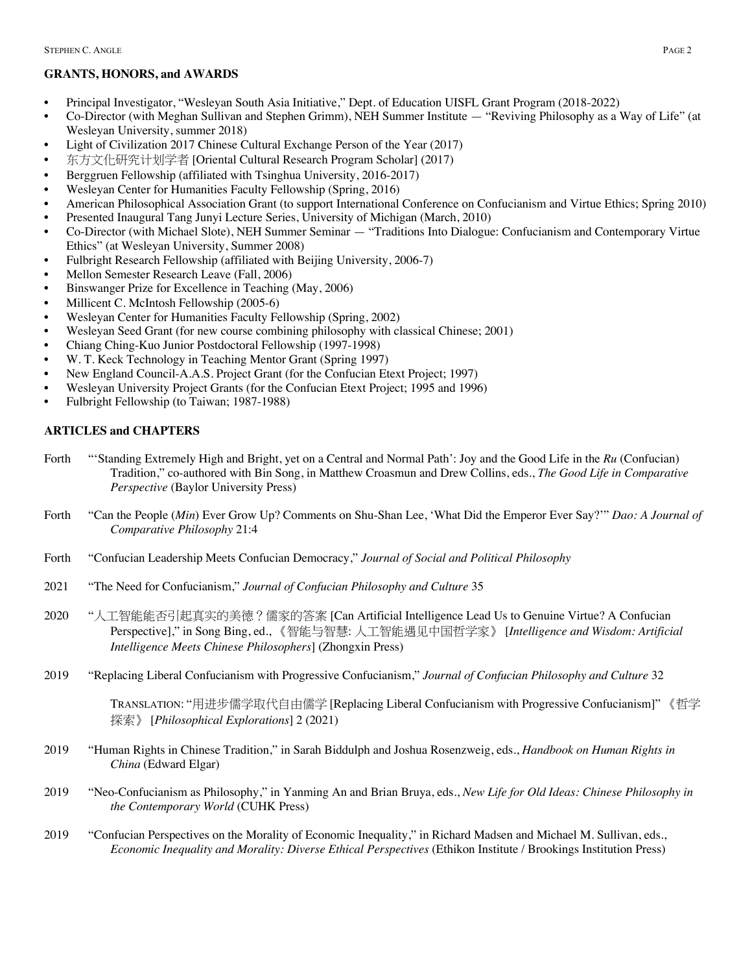# **GRANTS, HONORS, and AWARDS**

- Principal Investigator, "Wesleyan South Asia Initiative," Dept. of Education UISFL Grant Program (2018-2022)
- Co-Director (with Meghan Sullivan and Stephen Grimm), NEH Summer Institute "Reviving Philosophy as a Way of Life" (at Wesleyan University, summer 2018)
- Light of Civilization 2017 Chinese Cultural Exchange Person of the Year (2017)
- 东方文化研究计划学者 [Oriental Cultural Research Program Scholar] (2017)
- Berggruen Fellowship (affiliated with Tsinghua University, 2016-2017)
- Wesleyan Center for Humanities Faculty Fellowship (Spring, 2016)
- American Philosophical Association Grant (to support International Conference on Confucianism and Virtue Ethics; Spring 2010)
- Presented Inaugural Tang Junyi Lecture Series, University of Michigan (March, 2010)
- Co-Director (with Michael Slote), NEH Summer Seminar "Traditions Into Dialogue: Confucianism and Contemporary Virtue Ethics" (at Wesleyan University, Summer 2008)
- Fulbright Research Fellowship (affiliated with Beijing University, 2006-7)
- Mellon Semester Research Leave (Fall, 2006)
- Binswanger Prize for Excellence in Teaching (May, 2006)
- Millicent C. McIntosh Fellowship (2005-6)
- Wesleyan Center for Humanities Faculty Fellowship (Spring, 2002)
- Wesleyan Seed Grant (for new course combining philosophy with classical Chinese; 2001)
- Chiang Ching-Kuo Junior Postdoctoral Fellowship (1997-1998)
- W. T. Keck Technology in Teaching Mentor Grant (Spring 1997)
- New England Council-A.A.S. Project Grant (for the Confucian Etext Project; 1997)
- Wesleyan University Project Grants (for the Confucian Etext Project; 1995 and 1996)
- Fulbright Fellowship (to Taiwan; 1987-1988)

### **ARTICLES and CHAPTERS**

- Forth "'Standing Extremely High and Bright, yet on a Central and Normal Path': Joy and the Good Life in the *Ru* (Confucian) Tradition," co-authored with Bin Song, in Matthew Croasmun and Drew Collins, eds., *The Good Life in Comparative Perspective* (Baylor University Press)
- Forth "Can the People (*Min*) Ever Grow Up? Comments on Shu-Shan Lee, 'What Did the Emperor Ever Say?'" *Dao: A Journal of Comparative Philosophy* 21:4
- Forth "Confucian Leadership Meets Confucian Democracy," *Journal of Social and Political Philosophy*
- 2021 "The Need for Confucianism," *Journal of Confucian Philosophy and Culture* 35
- 2020 "人工智能能否引起真实的美德?儒家的答案 [Can Artificial Intelligence Lead Us to Genuine Virtue? A Confucian Perspective]," in Song Bing, ed., 《智能与智慧: 人工智能遇见中国哲学家》 [*Intelligence and Wisdom: Artificial Intelligence Meets Chinese Philosophers*] (Zhongxin Press)
- 2019 "Replacing Liberal Confucianism with Progressive Confucianism," *Journal of Confucian Philosophy and Culture* 32

TRANSLATION: "用进步儒学取代自由儒学 [Replacing Liberal Confucianism with Progressive Confucianism]" 《哲学 探索》 [*Philosophical Explorations*] 2 (2021)

- 2019 "Human Rights in Chinese Tradition," in Sarah Biddulph and Joshua Rosenzweig, eds., *Handbook on Human Rights in China* (Edward Elgar)
- 2019 "Neo-Confucianism as Philosophy," in Yanming An and Brian Bruya, eds., *New Life for Old Ideas: Chinese Philosophy in the Contemporary World* (CUHK Press)
- 2019 "Confucian Perspectives on the Morality of Economic Inequality," in Richard Madsen and Michael M. Sullivan, eds., *Economic Inequality and Morality: Diverse Ethical Perspectives* (Ethikon Institute / Brookings Institution Press)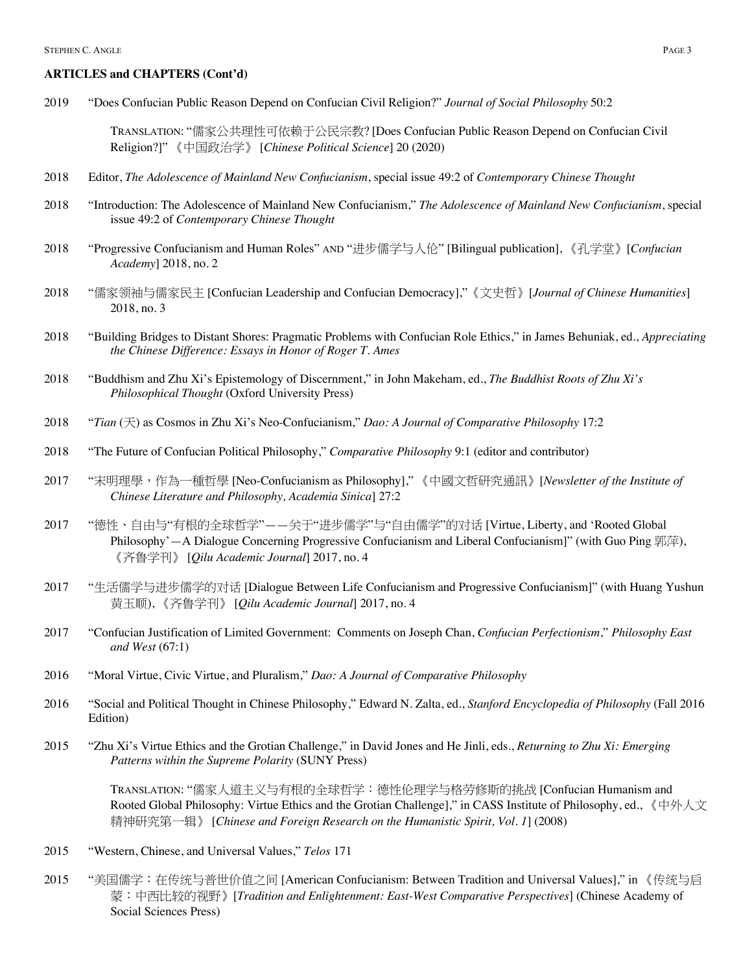2019 "Does Confucian Public Reason Depend on Confucian Civil Religion?" *Journal of Social Philosophy* 50:2

TRANSLATION: "儒家公共理性可依赖于公民宗教? [Does Confucian Public Reason Depend on Confucian Civil Religion?]" 《中国政治学》 [*Chinese Political Science*] 20 (2020)

- 2018 Editor, *The Adolescence of Mainland New Confucianism*, special issue 49:2 of *Contemporary Chinese Thought*
- 2018 "Introduction: The Adolescence of Mainland New Confucianism," *The Adolescence of Mainland New Confucianism*, special issue 49:2 of *Contemporary Chinese Thought*
- 2018 "Progressive Confucianism and Human Roles" AND "进步儒学与人伦" [Bilingual publication], 《孔学堂》[*Confucian Academy*] 2018, no. 2
- 2018 "儒家领袖与儒家民主 [Confucian Leadership and Confucian Democracy],"《文史哲》[*Journal of Chinese Humanities*] 2018, no. 3
- 2018 "Building Bridges to Distant Shores: Pragmatic Problems with Confucian Role Ethics," in James Behuniak, ed., *Appreciating the Chinese Difference: Essays in Honor of Roger T. Ames*
- 2018 "Buddhism and Zhu Xi's Epistemology of Discernment," in John Makeham, ed., *The Buddhist Roots of Zhu Xi's Philosophical Thought* (Oxford University Press)
- 2018 "*Tian* (天) as Cosmos in Zhu Xi's Neo-Confucianism," *Dao: A Journal of Comparative Philosophy* 17:2
- 2018 "The Future of Confucian Political Philosophy," *Comparative Philosophy* 9:1 (editor and contributor)
- 2017 "宋明理學,作為一種哲學 [Neo-Confucianism as Philosophy]," 《中國文哲研究通訊》[*Newsletter of the Institute of Chinese Literature and Philosophy, Academia Sinica*] 27:2
- 2017 "德性、自由与"有根的全球哲学"——关于"进步儒学"与"自由儒学"的对话 [Virtue, Liberty, and 'Rooted Global Philosophy'—A Dialogue Concerning Progressive Confucianism and Liberal Confucianism]" (with Guo Ping 郭萍), 《齐鲁学刊》 [*Qilu Academic Journal*] 2017, no. 4
- 2017 "生活儒学与进步儒学的对话 [Dialogue Between Life Confucianism and Progressive Confucianism]" (with Huang Yushun 黄玉顺), 《齐鲁学刊》 [*Qilu Academic Journal*] 2017, no. 4
- 2017 "Confucian Justification of Limited Government: Comments on Joseph Chan, *Confucian Perfectionism*," *Philosophy East and West* (67:1)
- 2016 "Moral Virtue, Civic Virtue, and Pluralism," *Dao: A Journal of Comparative Philosophy*
- 2016 "Social and Political Thought in Chinese Philosophy," Edward N. Zalta, ed., *Stanford Encyclopedia of Philosophy* (Fall 2016 Edition)
- 2015 "Zhu Xi's Virtue Ethics and the Grotian Challenge," in David Jones and He Jinli, eds., *Returning to Zhu Xi: Emerging Patterns within the Supreme Polarity* (SUNY Press)

TRANSLATION: "儒家人道主义与有根的全球哲学:德性伦理学与格劳修斯的挑战 [Confucian Humanism and Rooted Global Philosophy: Virtue Ethics and the Grotian Challenge]," in CASS Institute of Philosophy, ed., 《中外人文 精神研究第一辑》 [*Chinese and Foreign Research on the Humanistic Spirit, Vol. 1*] (2008)

- 2015 "Western, Chinese, and Universal Values," *Telos* 171
- 2015 "美国儒学:在传统与普世价值之间 [American Confucianism: Between Tradition and Universal Values]," in 《传统与启 蒙:中西比较的视野》[*Tradition and Enlightenment: East-West Comparative Perspectives*] (Chinese Academy of Social Sciences Press)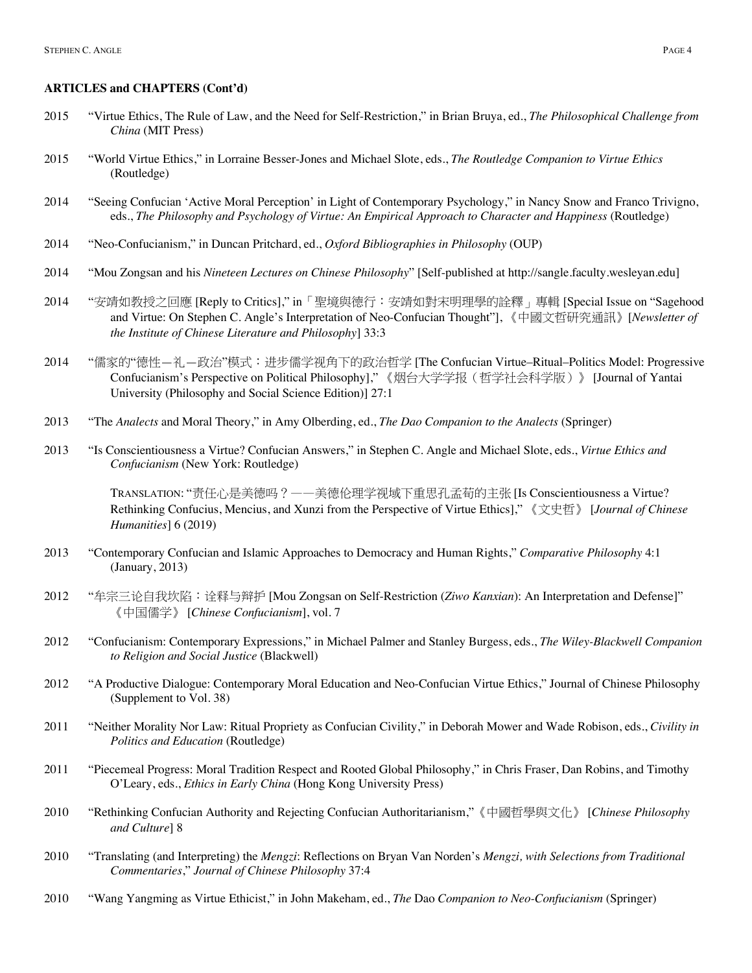- 2015 "Virtue Ethics, The Rule of Law, and the Need for Self-Restriction," in Brian Bruya, ed., *The Philosophical Challenge from China* (MIT Press)
- 2015 "World Virtue Ethics," in Lorraine Besser-Jones and Michael Slote, eds., *The Routledge Companion to Virtue Ethics* (Routledge)
- 2014 "Seeing Confucian 'Active Moral Perception' in Light of Contemporary Psychology," in Nancy Snow and Franco Trivigno, eds., *The Philosophy and Psychology of Virtue: An Empirical Approach to Character and Happiness* (Routledge)
- 2014 "Neo-Confucianism," in Duncan Pritchard, ed., *Oxford Bibliographies in Philosophy* (OUP)
- 2014 "Mou Zongsan and his *Nineteen Lectures on Chinese Philosophy*" [Self-published at http://sangle.faculty.wesleyan.edu]
- 2014 "安靖如教授之回應 [Reply to Critics]," in「聖境與德行:安靖如對宋明理學的詮釋」專輯 [Special Issue on "Sagehood and Virtue: On Stephen C. Angle's Interpretation of Neo-Confucian Thought"], 《中國文哲研究通訊》[*Newsletter of the Institute of Chinese Literature and Philosophy*] 33:3
- 2014 "儒家的"德性—礼—政治"模式:进步儒学视角下的政治哲学 [The Confucian Virtue–Ritual–Politics Model: Progressive Confucianism's Perspective on Political Philosophy]," 《烟台大学学报(哲学社会科学版)》 [Journal of Yantai University (Philosophy and Social Science Edition)] 27:1
- 2013 "The *Analects* and Moral Theory," in Amy Olberding, ed., *The Dao Companion to the Analects* (Springer)
- 2013 "Is Conscientiousness a Virtue? Confucian Answers," in Stephen C. Angle and Michael Slote, eds., *Virtue Ethics and Confucianism* (New York: Routledge)

TRANSLATION: "责任心是美德吗?——美德伦理学视域下重思孔孟荀的主张 [Is Conscientiousness a Virtue? Rethinking Confucius, Mencius, and Xunzi from the Perspective of Virtue Ethics]," 《文史哲》 [*Journal of Chinese Humanities*] 6 (2019)

- 2013 "Contemporary Confucian and Islamic Approaches to Democracy and Human Rights," *Comparative Philosophy* 4:1 (January, 2013)
- 2012 "牟宗三论自我坎陷:诠释与辩护 [Mou Zongsan on Self-Restriction (*Ziwo Kanxian*): An Interpretation and Defense]" 《中国儒学》 [*Chinese Confucianism*], vol. 7
- 2012 "Confucianism: Contemporary Expressions," in Michael Palmer and Stanley Burgess, eds., *The Wiley-Blackwell Companion to Religion and Social Justice* (Blackwell)
- 2012 "A Productive Dialogue: Contemporary Moral Education and Neo-Confucian Virtue Ethics," Journal of Chinese Philosophy (Supplement to Vol. 38)
- 2011 "Neither Morality Nor Law: Ritual Propriety as Confucian Civility," in Deborah Mower and Wade Robison, eds., *Civility in Politics and Education* (Routledge)
- 2011 "Piecemeal Progress: Moral Tradition Respect and Rooted Global Philosophy," in Chris Fraser, Dan Robins, and Timothy O'Leary, eds., *Ethics in Early China* (Hong Kong University Press)
- 2010 "Rethinking Confucian Authority and Rejecting Confucian Authoritarianism,"《中國哲學與文化》 [*Chinese Philosophy and Culture*] 8
- 2010 "Translating (and Interpreting) the *Mengzi*: Reflections on Bryan Van Norden's *Mengzi, with Selections from Traditional Commentaries*," *Journal of Chinese Philosophy* 37:4
- 2010 "Wang Yangming as Virtue Ethicist," in John Makeham, ed., *The* Dao *Companion to Neo-Confucianism* (Springer)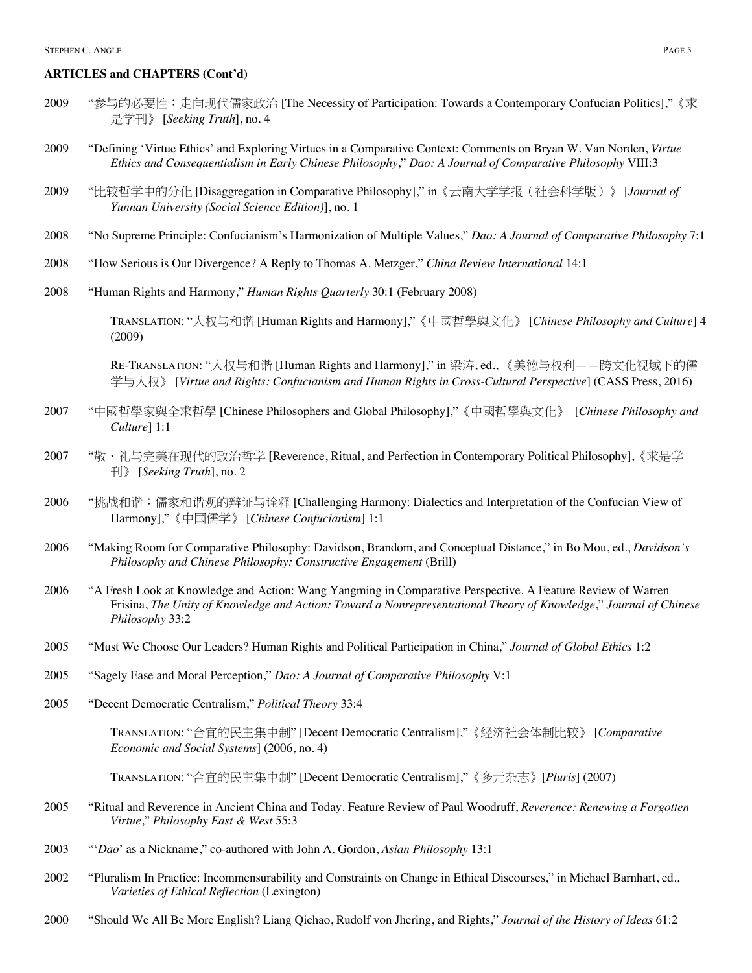- 2009 "参与的必要性:走向现代儒家政治 [The Necessity of Participation: Towards a Contemporary Confucian Politics],"《求 是学刊》 [*Seeking Truth*], no. 4
- 2009 "Defining 'Virtue Ethics' and Exploring Virtues in a Comparative Context: Comments on Bryan W. Van Norden, *Virtue Ethics and Consequentialism in Early Chinese Philosophy*," *Dao: A Journal of Comparative Philosophy* VIII:3
- 2009 "比较哲学中的分化 [Disaggregation in Comparative Philosophy]," in《云南大学学报(社会科学版)》 [*Journal of Yunnan University (Social Science Edition)*], no. 1
- 2008 "No Supreme Principle: Confucianism's Harmonization of Multiple Values," *Dao: A Journal of Comparative Philosophy* 7:1
- 2008 "How Serious is Our Divergence? A Reply to Thomas A. Metzger," *China Review International* 14:1
- 2008 "Human Rights and Harmony," *Human Rights Quarterly* 30:1 (February 2008)

TRANSLATION: "人权与和谐 [Human Rights and Harmony],"《中國哲學與文化》 [*Chinese Philosophy and Culture*] 4 (2009)

RE-TRANSLATION: "人权与和谐 [Human Rights and Harmony]," in 梁涛, ed., 《美德与权利——跨文化视域下的儒 学与人权》 [*Virtue and Rights: Confucianism and Human Rights in Cross-Cultural Perspective*] (CASS Press, 2016)

- 2007 "中國哲學家與全求哲學 [Chinese Philosophers and Global Philosophy],"《中國哲學與文化》[*Chinese Philosophy and Culture*] 1:1
- 2007 "敬、礼与完美在现代的政治哲学 **[**Reverence, Ritual, and Perfection in Contemporary Political Philosophy],《求是学 刊》 [*Seeking Truth*], no. 2
- 2006 "挑战和谐:儒家和谐观的辩证与诠释 [Challenging Harmony: Dialectics and Interpretation of the Confucian View of Harmony],"《中国儒学》 [*Chinese Confucianism*] 1:1
- 2006 "Making Room for Comparative Philosophy: Davidson, Brandom, and Conceptual Distance," in Bo Mou, ed., *Davidson's Philosophy and Chinese Philosophy: Constructive Engagement* (Brill)
- 2006 "A Fresh Look at Knowledge and Action: Wang Yangming in Comparative Perspective. A Feature Review of Warren Frisina, *The Unity of Knowledge and Action: Toward a Nonrepresentational Theory of Knowledge*," *Journal of Chinese Philosophy* 33:2
- 2005 "Must We Choose Our Leaders? Human Rights and Political Participation in China," *Journal of Global Ethics* 1:2
- 2005 "Sagely Ease and Moral Perception," *Dao: A Journal of Comparative Philosophy* V:1
- 2005 "Decent Democratic Centralism," *Political Theory* 33:4

TRANSLATION: "合宜的民主集中制" [Decent Democratic Centralism],"《经济社会体制比较》 [*Comparative Economic and Social Systems*] (2006, no. 4)

TRANSLATION: "合宜的民主集中制" [Decent Democratic Centralism],"《多元杂志》[*Pluris*] (2007)

- 2005 "Ritual and Reverence in Ancient China and Today. Feature Review of Paul Woodruff, *Reverence: Renewing a Forgotten Virtue*," *Philosophy East & West* 55:3
- 2003 "'*Dao*' as a Nickname," co-authored with John A. Gordon, *Asian Philosophy* 13:1
- 2002 "Pluralism In Practice: Incommensurability and Constraints on Change in Ethical Discourses," in Michael Barnhart, ed., *Varieties of Ethical Reflection* (Lexington)
- 2000 "Should We All Be More English? Liang Qichao, Rudolf von Jhering, and Rights," *Journal of the History of Ideas* 61:2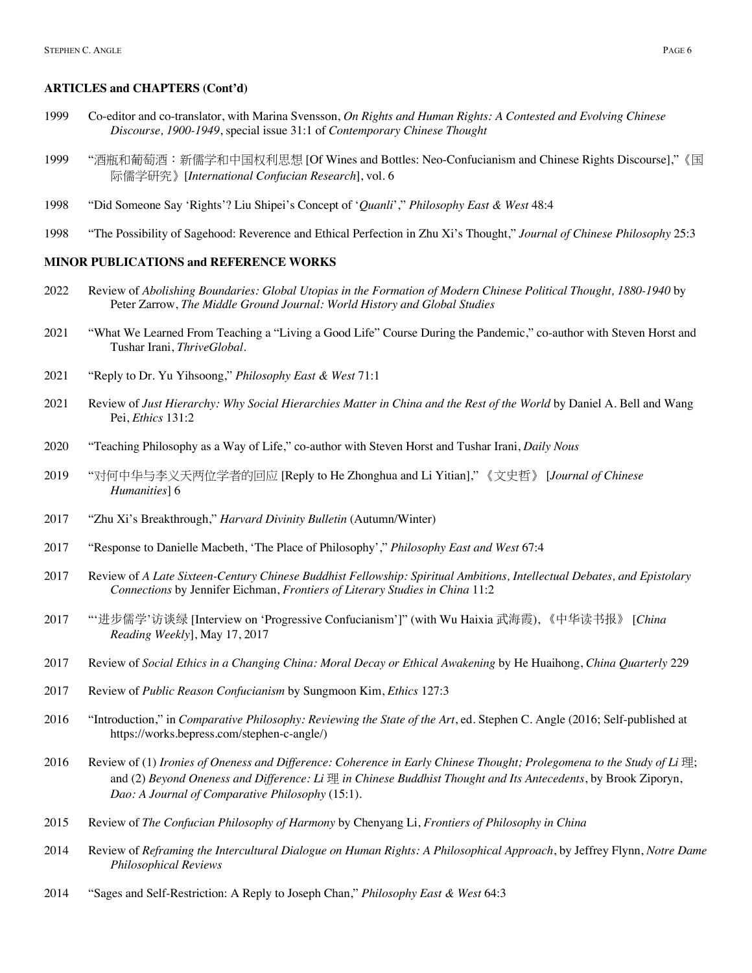- 1999 Co-editor and co-translator, with Marina Svensson, *On Rights and Human Rights: A Contested and Evolving Chinese Discourse, 1900-1949*, special issue 31:1 of *Contemporary Chinese Thought*
- 1999 "酒瓶和葡萄酒:新儒学和中国权利思想 [Of Wines and Bottles: Neo-Confucianism and Chinese Rights Discourse],"《国 际儒学研究》[*International Confucian Research*], vol. 6
- 1998 "Did Someone Say 'Rights'? Liu Shipei's Concept of '*Quanli*'," *Philosophy East & West* 48:4
- 1998 "The Possibility of Sagehood: Reverence and Ethical Perfection in Zhu Xi's Thought," *Journal of Chinese Philosophy* 25:3

#### **MINOR PUBLICATIONS and REFERENCE WORKS**

- 2022 Review of *Abolishing Boundaries: Global Utopias in the Formation of Modern Chinese Political Thought, 1880-1940* by Peter Zarrow, *The Middle Ground Journal: World History and Global Studies*
- 2021 "What We Learned From Teaching a "Living a Good Life" Course During the Pandemic," co-author with Steven Horst and Tushar Irani, *ThriveGlobal*.
- 2021 "Reply to Dr. Yu Yihsoong," *Philosophy East & West* 71:1
- 2021 Review of *Just Hierarchy: Why Social Hierarchies Matter in China and the Rest of the World* by Daniel A. Bell and Wang Pei, *Ethics* 131:2
- 2020 "Teaching Philosophy as a Way of Life," co-author with Steven Horst and Tushar Irani, *Daily Nous*
- 2019 "对何中华与李义天两位学者的回应 [Reply to He Zhonghua and Li Yitian]," 《文史哲》 [*Journal of Chinese Humanities*] 6
- 2017 "Zhu Xi's Breakthrough," *Harvard Divinity Bulletin* (Autumn/Winter)
- 2017 "Response to Danielle Macbeth, 'The Place of Philosophy'," *Philosophy East and West* 67:4
- 2017 Review of *A Late Sixteen-Century Chinese Buddhist Fellowship: Spiritual Ambitions, Intellectual Debates, and Epistolary Connections* by Jennifer Eichman, *Frontiers of Literary Studies in China* 11:2
- 2017 "'进步儒学'访谈绿 [Interview on 'Progressive Confucianism']" (with Wu Haixia 武海霞), 《中华读书报》 [*China Reading Weekly*], May 17, 2017
- 2017 Review of *Social Ethics in a Changing China: Moral Decay or Ethical Awakening* by He Huaihong, *China Quarterly* 229
- 2017 Review of *Public Reason Confucianism* by Sungmoon Kim, *Ethics* 127:3
- 2016 "Introduction," in *Comparative Philosophy: Reviewing the State of the Art*, ed. Stephen C. Angle (2016; Self-published at https://works.bepress.com/stephen-c-angle/)
- 2016 Review of (1) *Ironies of Oneness and Difference: Coherence in Early Chinese Thought; Prolegomena to the Study of Li* 理; and (2) *Beyond Oneness and Difference: Li* 理 *in Chinese Buddhist Thought and Its Antecedents*, by Brook Ziporyn, *Dao: A Journal of Comparative Philosophy* (15:1).
- 2015 Review of *The Confucian Philosophy of Harmony* by Chenyang Li, *Frontiers of Philosophy in China*
- 2014 Review of *Reframing the Intercultural Dialogue on Human Rights: A Philosophical Approach*, by Jeffrey Flynn, *Notre Dame Philosophical Reviews*
- 2014 "Sages and Self-Restriction: A Reply to Joseph Chan," *Philosophy East & West* 64:3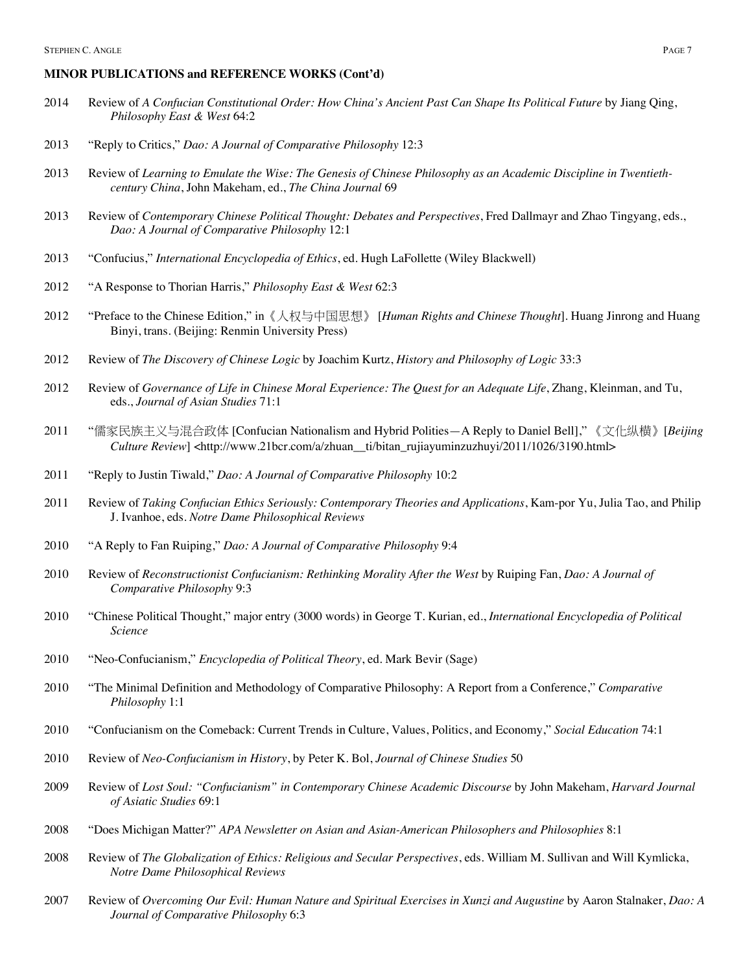#### **MINOR PUBLICATIONS and REFERENCE WORKS (Cont'd)**

- Review of *A Confucian Constitutional Order: How China's Ancient Past Can Shape Its Political Future* by Jiang Qing, *Philosophy East & West* 64:2
- "Reply to Critics," *Dao: A Journal of Comparative Philosophy* 12:3
- Review of *Learning to Emulate the Wise: The Genesis of Chinese Philosophy as an Academic Discipline in Twentiethcentury China*, John Makeham, ed., *The China Journal* 69
- Review of *Contemporary Chinese Political Thought: Debates and Perspectives*, Fred Dallmayr and Zhao Tingyang, eds., *Dao: A Journal of Comparative Philosophy* 12:1
- "Confucius," *International Encyclopedia of Ethics*, ed. Hugh LaFollette (Wiley Blackwell)
- "A Response to Thorian Harris," *Philosophy East & West* 62:3
- "Preface to the Chinese Edition," in《人权与中国思想》 [*Human Rights and Chinese Thought*]. Huang Jinrong and Huang Binyi, trans. (Beijing: Renmin University Press)
- Review of *The Discovery of Chinese Logic* by Joachim Kurtz, *History and Philosophy of Logic* 33:3
- Review of *Governance of Life in Chinese Moral Experience: The Quest for an Adequate Life*, Zhang, Kleinman, and Tu, eds., *Journal of Asian Studies* 71:1
- "儒家民族主义与混合政体 [Confucian Nationalism and Hybrid Polities—A Reply to Daniel Bell]," 《文化纵横》[*Beijing Culture Review*] <http://www.21bcr.com/a/zhuan\_\_ti/bitan\_rujiayuminzuzhuyi/2011/1026/3190.html>
- "Reply to Justin Tiwald," *Dao: A Journal of Comparative Philosophy* 10:2
- Review of *Taking Confucian Ethics Seriously: Contemporary Theories and Applications*, Kam-por Yu, Julia Tao, and Philip J. Ivanhoe, eds. *Notre Dame Philosophical Reviews*
- "A Reply to Fan Ruiping," *Dao: A Journal of Comparative Philosophy* 9:4
- Review of *Reconstructionist Confucianism: Rethinking Morality After the West* by Ruiping Fan, *Dao: A Journal of Comparative Philosophy* 9:3
- "Chinese Political Thought," major entry (3000 words) in George T. Kurian, ed., *International Encyclopedia of Political Science*
- "Neo-Confucianism," *Encyclopedia of Political Theory*, ed. Mark Bevir (Sage)
- "The Minimal Definition and Methodology of Comparative Philosophy: A Report from a Conference," *Comparative Philosophy* 1:1
- "Confucianism on the Comeback: Current Trends in Culture, Values, Politics, and Economy," *Social Education* 74:1
- Review of *Neo-Confucianism in History*, by Peter K. Bol, *Journal of Chinese Studies* 50
- Review of *Lost Soul: "Confucianism" in Contemporary Chinese Academic Discourse* by John Makeham, *Harvard Journal of Asiatic Studies* 69:1
- "Does Michigan Matter?" *APA Newsletter on Asian and Asian-American Philosophers and Philosophies* 8:1
- Review of *The Globalization of Ethics: Religious and Secular Perspectives*, eds*.* William M. Sullivan and Will Kymlicka, *Notre Dame Philosophical Reviews*
- Review of *Overcoming Our Evil: Human Nature and Spiritual Exercises in Xunzi and Augustine* by Aaron Stalnaker, *Dao: A Journal of Comparative Philosophy* 6:3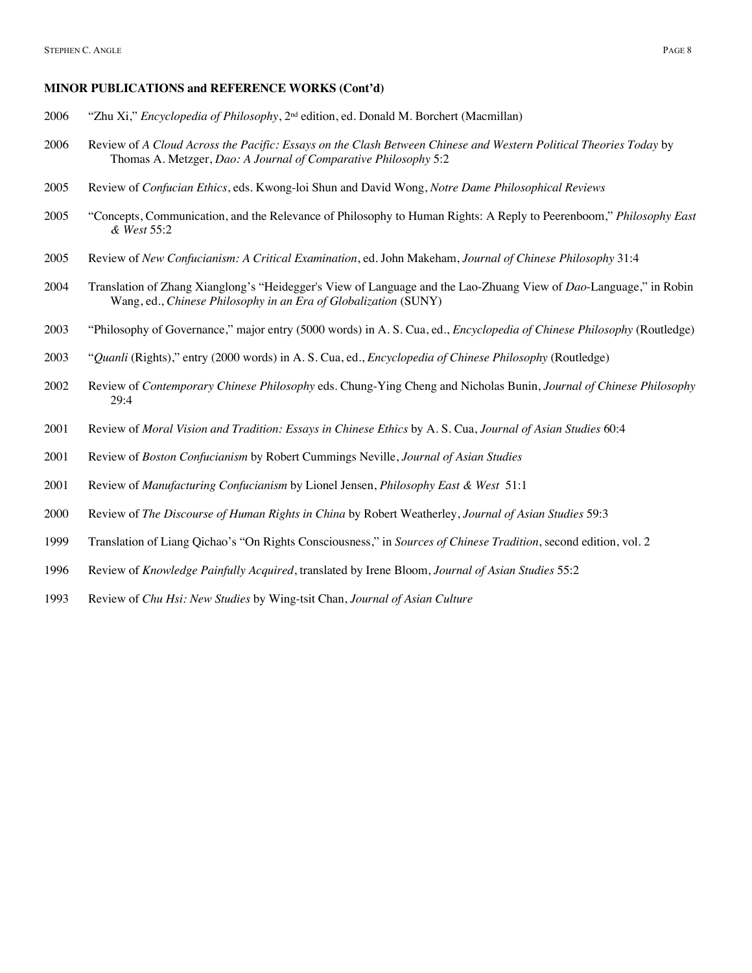#### **MINOR PUBLICATIONS and REFERENCE WORKS (Cont'd)**

- "Zhu Xi," *Encyclopedia of Philosophy*, 2nd edition, ed. Donald M. Borchert (Macmillan)
- Review of *A Cloud Across the Pacific: Essays on the Clash Between Chinese and Western Political Theories Today* by Thomas A. Metzger, *Dao: A Journal of Comparative Philosophy* 5:2
- Review of *Confucian Ethics*, eds. Kwong-loi Shun and David Wong, *Notre Dame Philosophical Reviews*
- "Concepts, Communication, and the Relevance of Philosophy to Human Rights: A Reply to Peerenboom," *Philosophy East & West* 55:2
- Review of *New Confucianism: A Critical Examination*, ed. John Makeham, *Journal of Chinese Philosophy* 31:4
- Translation of Zhang Xianglong's "Heidegger's View of Language and the Lao-Zhuang View of *Dao*-Language," in Robin Wang, ed., *Chinese Philosophy in an Era of Globalization* (SUNY)
- "Philosophy of Governance," major entry (5000 words) in A. S. Cua, ed., *Encyclopedia of Chinese Philosophy* (Routledge)
- "*Quanli* (Rights)," entry (2000 words) in A. S. Cua, ed., *Encyclopedia of Chinese Philosophy* (Routledge)
- Review of *Contemporary Chinese Philosophy* eds. Chung-Ying Cheng and Nicholas Bunin, *Journal of Chinese Philosophy* 29:4
- Review of *Moral Vision and Tradition: Essays in Chinese Ethics* by A. S. Cua, *Journal of Asian Studies* 60:4
- Review of *Boston Confucianism* by Robert Cummings Neville, *Journal of Asian Studies*
- Review of *Manufacturing Confucianism* by Lionel Jensen, *Philosophy East & West* 51:1
- Review of *The Discourse of Human Rights in China* by Robert Weatherley, *Journal of Asian Studies* 59:3
- Translation of Liang Qichao's "On Rights Consciousness," in *Sources of Chinese Tradition*, second edition, vol. 2
- Review of *Knowledge Painfully Acquired*, translated by Irene Bloom, *Journal of Asian Studies* 55:2
- Review of *Chu Hsi: New Studies* by Wing-tsit Chan, *Journal of Asian Culture*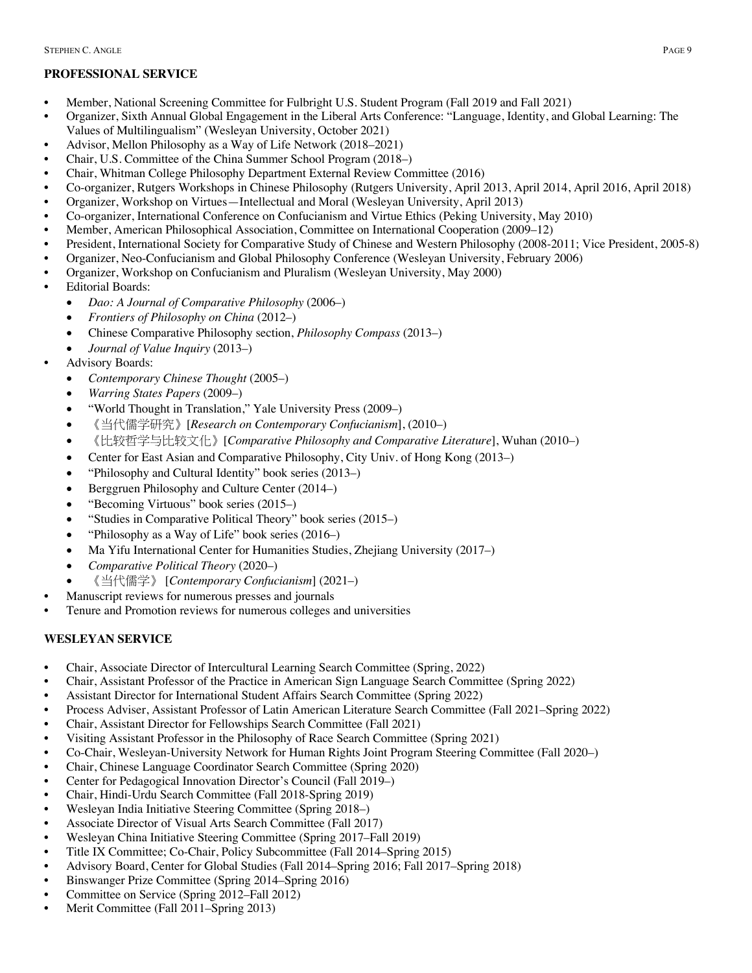# **PROFESSIONAL SERVICE**

- Member, National Screening Committee for Fulbright U.S. Student Program (Fall 2019 and Fall 2021)
- Organizer, Sixth Annual Global Engagement in the Liberal Arts Conference: "Language, Identity, and Global Learning: The Values of Multilingualism" (Wesleyan University, October 2021)
- Advisor, Mellon Philosophy as a Way of Life Network (2018–2021)
- Chair, U.S. Committee of the China Summer School Program (2018–)
- Chair, Whitman College Philosophy Department External Review Committee (2016)
- Co-organizer, Rutgers Workshops in Chinese Philosophy (Rutgers University, April 2013, April 2014, April 2016, April 2018)
- Organizer, Workshop on Virtues—Intellectual and Moral (Wesleyan University, April 2013)
- Co-organizer, International Conference on Confucianism and Virtue Ethics (Peking University, May 2010)
- Member, American Philosophical Association, Committee on International Cooperation (2009–12)
- President, International Society for Comparative Study of Chinese and Western Philosophy (2008-2011; Vice President, 2005-8)
- Organizer, Neo-Confucianism and Global Philosophy Conference (Wesleyan University, February 2006)
- Organizer, Workshop on Confucianism and Pluralism (Wesleyan University, May 2000)
- Editorial Boards:
	- *Dao: A Journal of Comparative Philosophy* (2006–)
	- *Frontiers of Philosophy on China* (2012–)
	- Chinese Comparative Philosophy section, *Philosophy Compass* (2013–)
	- *Journal of Value Inquiry* (2013–)
- Advisory Boards:
	- *Contemporary Chinese Thought* (2005–)
	- *Warring States Papers* (2009–)
	- "World Thought in Translation," Yale University Press (2009–)
	- 《当代儒学研究》[*Research on Contemporary Confucianism*], (2010–)
	- 《比较哲学与比较文化》[*Comparative Philosophy and Comparative Literature*], Wuhan (2010–)
	- Center for East Asian and Comparative Philosophy, City Univ. of Hong Kong (2013–)
	- "Philosophy and Cultural Identity" book series (2013–)
	- Berggruen Philosophy and Culture Center (2014–)
	- "Becoming Virtuous" book series (2015–)
	- "Studies in Comparative Political Theory" book series (2015–)
	- "Philosophy as a Way of Life" book series (2016–)
	- Ma Yifu International Center for Humanities Studies, Zhejiang University (2017–)
	- *Comparative Political Theory* (2020–)
	- 《当代儒学》 [*Contemporary Confucianism*] (2021–)
- Manuscript reviews for numerous presses and journals
- Tenure and Promotion reviews for numerous colleges and universities

# **WESLEYAN SERVICE**

- Chair, Associate Director of Intercultural Learning Search Committee (Spring, 2022)
- Chair, Assistant Professor of the Practice in American Sign Language Search Committee (Spring 2022)
- Assistant Director for International Student Affairs Search Committee (Spring 2022)
- Process Adviser, Assistant Professor of Latin American Literature Search Committee (Fall 2021–Spring 2022)
- Chair, Assistant Director for Fellowships Search Committee (Fall 2021)
- Visiting Assistant Professor in the Philosophy of Race Search Committee (Spring 2021)
- Co-Chair, Wesleyan-University Network for Human Rights Joint Program Steering Committee (Fall 2020–)
- Chair, Chinese Language Coordinator Search Committee (Spring 2020)
- Center for Pedagogical Innovation Director's Council (Fall 2019–)
- Chair, Hindi-Urdu Search Committee (Fall 2018-Spring 2019)
- Wesleyan India Initiative Steering Committee (Spring 2018–)
- Associate Director of Visual Arts Search Committee (Fall 2017)
- Wesleyan China Initiative Steering Committee (Spring 2017–Fall 2019)
- Title IX Committee; Co-Chair, Policy Subcommittee (Fall 2014–Spring 2015)
- Advisory Board, Center for Global Studies (Fall 2014–Spring 2016; Fall 2017–Spring 2018)
- Binswanger Prize Committee (Spring 2014–Spring 2016)
- Committee on Service (Spring 2012–Fall 2012)
- Merit Committee (Fall 2011–Spring 2013)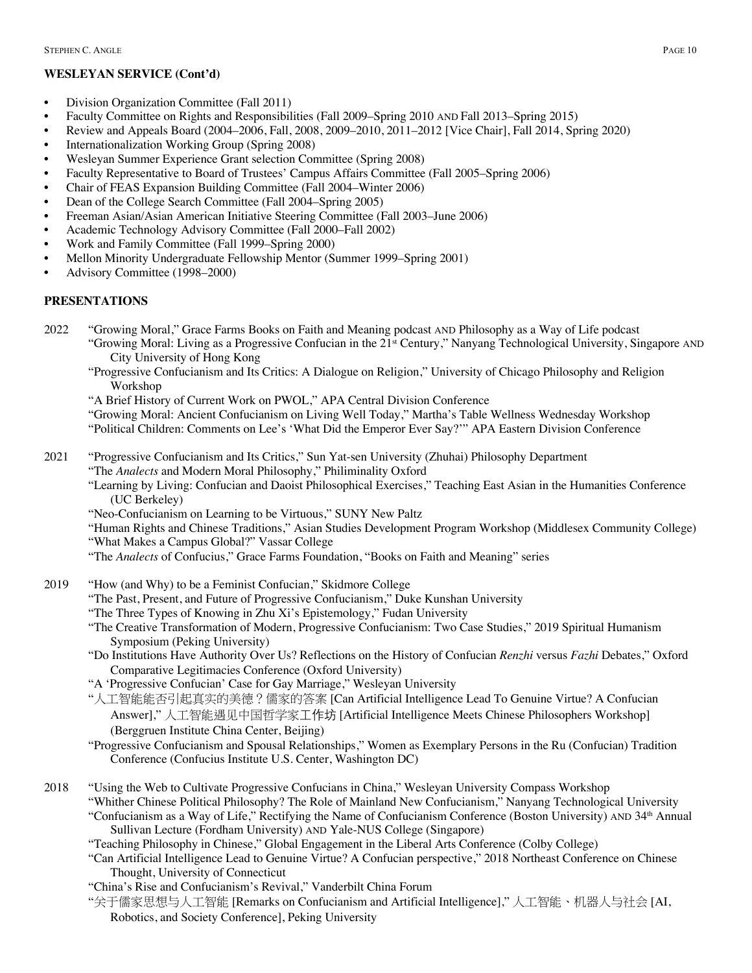# **WESLEYAN SERVICE (Cont'd)**

- Division Organization Committee (Fall 2011)
- Faculty Committee on Rights and Responsibilities (Fall 2009–Spring 2010 AND Fall 2013–Spring 2015)
- Review and Appeals Board (2004–2006, Fall, 2008, 2009–2010, 2011–2012 [Vice Chair], Fall 2014, Spring 2020)
- Internationalization Working Group (Spring 2008)
- Wesleyan Summer Experience Grant selection Committee (Spring 2008)
- Faculty Representative to Board of Trustees' Campus Affairs Committee (Fall 2005–Spring 2006)
- Chair of FEAS Expansion Building Committee (Fall 2004–Winter 2006)
- Dean of the College Search Committee (Fall 2004–Spring 2005)
- Freeman Asian/Asian American Initiative Steering Committee (Fall 2003–June 2006)
- Academic Technology Advisory Committee (Fall 2000–Fall 2002)
- Work and Family Committee (Fall 1999–Spring 2000)
- Mellon Minority Undergraduate Fellowship Mentor (Summer 1999–Spring 2001)
- Advisory Committee (1998–2000)

# **PRESENTATIONS**

- 2022 "Growing Moral," Grace Farms Books on Faith and Meaning podcast AND Philosophy as a Way of Life podcast "Growing Moral: Living as a Progressive Confucian in the 21st Century," Nanyang Technological University, Singapore AND City University of Hong Kong
	- "Progressive Confucianism and Its Critics: A Dialogue on Religion," University of Chicago Philosophy and Religion Workshop
	- "A Brief History of Current Work on PWOL," APA Central Division Conference

"Growing Moral: Ancient Confucianism on Living Well Today," Martha's Table Wellness Wednesday Workshop "Political Children: Comments on Lee's 'What Did the Emperor Ever Say?'" APA Eastern Division Conference

2021 "Progressive Confucianism and Its Critics," Sun Yat-sen University (Zhuhai) Philosophy Department "The *Analects* and Modern Moral Philosophy," Philiminality Oxford

"Learning by Living: Confucian and Daoist Philosophical Exercises," Teaching East Asian in the Humanities Conference (UC Berkeley)

"Neo-Confucianism on Learning to be Virtuous," SUNY New Paltz

"Human Rights and Chinese Traditions," Asian Studies Development Program Workshop (Middlesex Community College) "What Makes a Campus Global?" Vassar College

"The *Analects* of Confucius," Grace Farms Foundation, "Books on Faith and Meaning" series

- 2019 "How (and Why) to be a Feminist Confucian," Skidmore College
	- "The Past, Present, and Future of Progressive Confucianism," Duke Kunshan University
	- "The Three Types of Knowing in Zhu Xi's Epistemology," Fudan University
	- "The Creative Transformation of Modern, Progressive Confucianism: Two Case Studies," 2019 Spiritual Humanism Symposium (Peking University)
	- "Do Institutions Have Authority Over Us? Reflections on the History of Confucian *Renzhi* versus *Fazhi* Debates," Oxford Comparative Legitimacies Conference (Oxford University)
	- "A 'Progressive Confucian' Case for Gay Marriage," Wesleyan University
	- "人工智能能否引起真实的美德?儒家的答案 [Can Artificial Intelligence Lead To Genuine Virtue? A Confucian Answer]," 人工智能遇见中国哲学家工作坊 [Artificial Intelligence Meets Chinese Philosophers Workshop] (Berggruen Institute China Center, Beijing)

"Progressive Confucianism and Spousal Relationships," Women as Exemplary Persons in the Ru (Confucian) Tradition Conference (Confucius Institute U.S. Center, Washington DC)

- 2018 "Using the Web to Cultivate Progressive Confucians in China," Wesleyan University Compass Workshop "Whither Chinese Political Philosophy? The Role of Mainland New Confucianism," Nanyang Technological University "Confucianism as a Way of Life," Rectifying the Name of Confucianism Conference (Boston University) AND 34th Annual Sullivan Lecture (Fordham University) AND Yale-NUS College (Singapore)
	- "Teaching Philosophy in Chinese," Global Engagement in the Liberal Arts Conference (Colby College)
	- "Can Artificial Intelligence Lead to Genuine Virtue? A Confucian perspective," 2018 Northeast Conference on Chinese Thought, University of Connecticut
	- "China's Rise and Confucianism's Revival," Vanderbilt China Forum
	- "关于儒家思想与人工智能 [Remarks on Confucianism and Artificial Intelligence]," 人工智能、机器人与社会 [AI, Robotics, and Society Conference], Peking University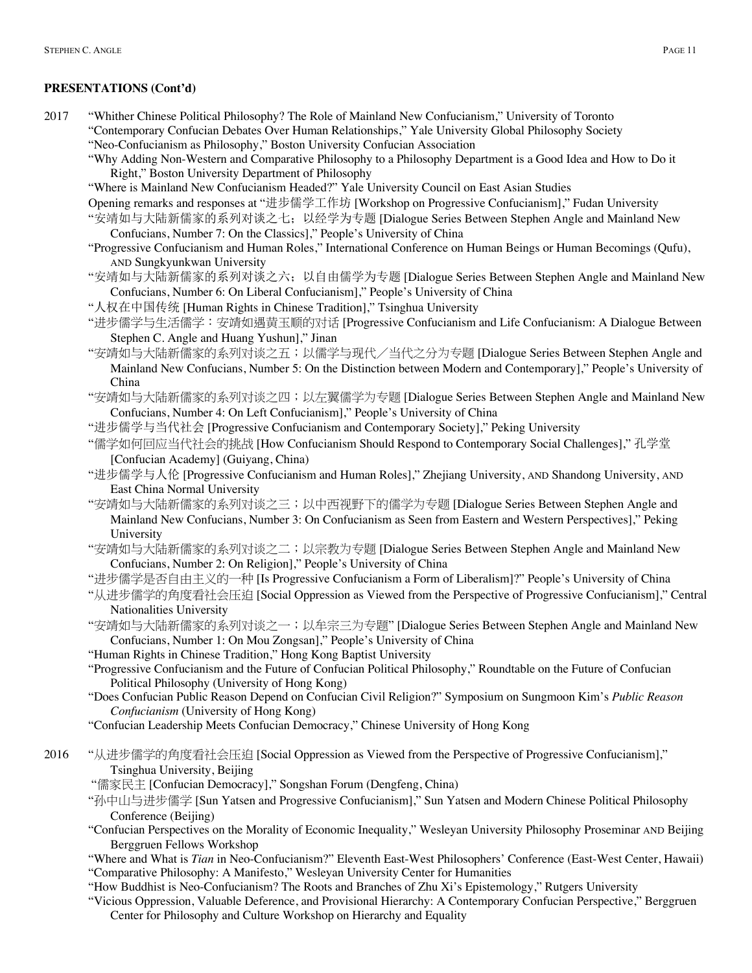- 2017 "Whither Chinese Political Philosophy? The Role of Mainland New Confucianism," University of Toronto "Contemporary Confucian Debates Over Human Relationships," Yale University Global Philosophy Society "Neo-Confucianism as Philosophy," Boston University Confucian Association
	- "Why Adding Non-Western and Comparative Philosophy to a Philosophy Department is a Good Idea and How to Do it Right," Boston University Department of Philosophy
	- "Where is Mainland New Confucianism Headed?" Yale University Council on East Asian Studies
	- Opening remarks and responses at "进步儒学工作坊 [Workshop on Progressive Confucianism]," Fudan University
	- "安靖如与大陆新儒家的系列对谈之七;以经学为专题 [Dialogue Series Between Stephen Angle and Mainland New Confucians, Number 7: On the Classics]," People's University of China
	- "Progressive Confucianism and Human Roles," International Conference on Human Beings or Human Becomings (Qufu), AND Sungkyunkwan University
	- "安靖如与大陆新儒家的系列对谈之六;以自由儒学为专题 [Dialogue Series Between Stephen Angle and Mainland New Confucians, Number 6: On Liberal Confucianism]," People's University of China
	- "人权在中国传统 [Human Rights in Chinese Tradition]," Tsinghua University
	- "进步儒学与生活儒学:安靖如遇黄玉顺的对话 [Progressive Confucianism and Life Confucianism: A Dialogue Between Stephen C. Angle and Huang Yushun]," Jinan
	- "安靖如与大陆新儒家的系列对谈之五;以儒学与现代/当代之分为专题 [Dialogue Series Between Stephen Angle and Mainland New Confucians, Number 5: On the Distinction between Modern and Contemporary]," People's University of China
	- "安靖如与大陆新儒家的系列对谈之四;以左翼儒学为专题 [Dialogue Series Between Stephen Angle and Mainland New Confucians, Number 4: On Left Confucianism]," People's University of China
	- "进步儒学与当代社会 [Progressive Confucianism and Contemporary Society]," Peking University
	- "儒学如何回应当代社会的挑战 [How Confucianism Should Respond to Contemporary Social Challenges]," 孔学堂 [Confucian Academy] (Guiyang, China)
	- "进步儒学与人伦 [Progressive Confucianism and Human Roles]," Zhejiang University, AND Shandong University, AND East China Normal University
	- "安靖如与大陆新儒家的系列对谈之三;以中西视野下的儒学为专题 [Dialogue Series Between Stephen Angle and Mainland New Confucians, Number 3: On Confucianism as Seen from Eastern and Western Perspectives]," Peking University
	- "安靖如与大陆新儒家的系列对谈之二;以宗教为专题 [Dialogue Series Between Stephen Angle and Mainland New Confucians, Number 2: On Religion]," People's University of China
	- "进步儒学是否自由主义的一种 [Is Progressive Confucianism a Form of Liberalism]?" People's University of China
	- "从进步儒学的角度看社会压迫 [Social Oppression as Viewed from the Perspective of Progressive Confucianism]," Central Nationalities University
	- "安靖如与大陆新儒家的系列对谈之一;以牟宗三为专题" [Dialogue Series Between Stephen Angle and Mainland New Confucians, Number 1: On Mou Zongsan]," People's University of China
	- "Human Rights in Chinese Tradition," Hong Kong Baptist University
	- "Progressive Confucianism and the Future of Confucian Political Philosophy," Roundtable on the Future of Confucian Political Philosophy (University of Hong Kong)
	- "Does Confucian Public Reason Depend on Confucian Civil Religion?" Symposium on Sungmoon Kim's *Public Reason Confucianism* (University of Hong Kong)
	- "Confucian Leadership Meets Confucian Democracy," Chinese University of Hong Kong
- 2016 "从进步儒学的角度看社会压迫 [Social Oppression as Viewed from the Perspective of Progressive Confucianism]," Tsinghua University, Beijing
	- "儒家民主 [Confucian Democracy]," Songshan Forum (Dengfeng, China)
	- "孙中山与进步儒学 [Sun Yatsen and Progressive Confucianism]," Sun Yatsen and Modern Chinese Political Philosophy Conference (Beijing)
	- "Confucian Perspectives on the Morality of Economic Inequality," Wesleyan University Philosophy Proseminar AND Beijing Berggruen Fellows Workshop
	- "Where and What is *Tian* in Neo-Confucianism?" Eleventh East-West Philosophers' Conference (East-West Center, Hawaii) "Comparative Philosophy: A Manifesto," Wesleyan University Center for Humanities
	- "How Buddhist is Neo-Confucianism? The Roots and Branches of Zhu Xi's Epistemology," Rutgers University
	- "Vicious Oppression, Valuable Deference, and Provisional Hierarchy: A Contemporary Confucian Perspective," Berggruen Center for Philosophy and Culture Workshop on Hierarchy and Equality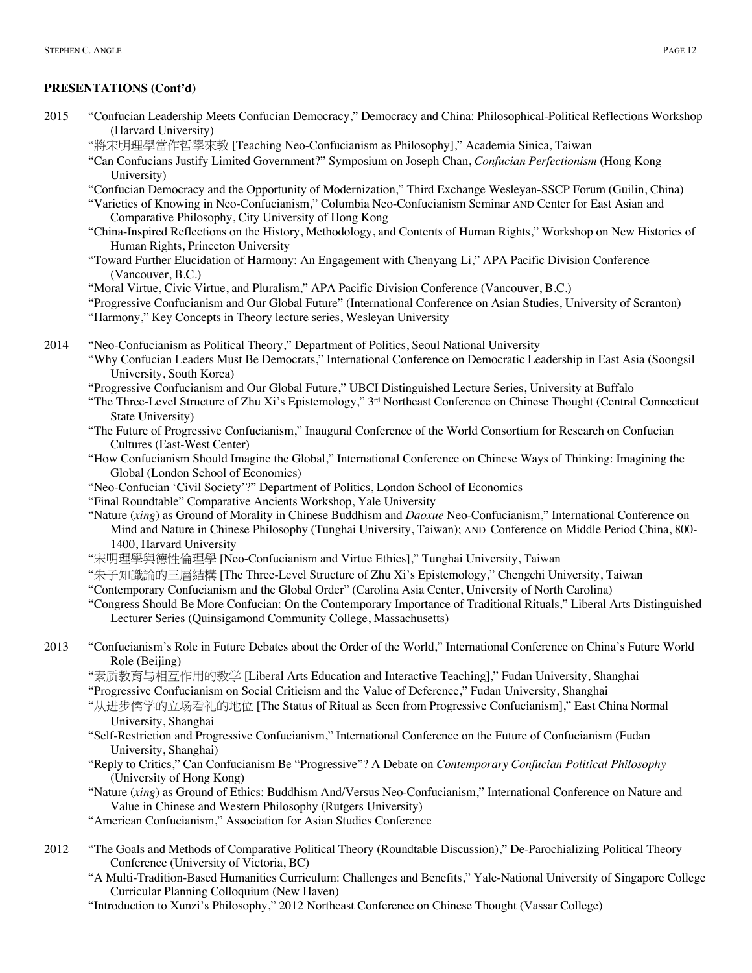- 2015 "Confucian Leadership Meets Confucian Democracy," Democracy and China: Philosophical-Political Reflections Workshop (Harvard University)
	- "將宋明理學當作哲學來教 [Teaching Neo-Confucianism as Philosophy]," Academia Sinica, Taiwan
	- "Can Confucians Justify Limited Government?" Symposium on Joseph Chan, *Confucian Perfectionism* (Hong Kong University)
	- "Confucian Democracy and the Opportunity of Modernization," Third Exchange Wesleyan-SSCP Forum (Guilin, China)
	- "Varieties of Knowing in Neo-Confucianism," Columbia Neo-Confucianism Seminar AND Center for East Asian and Comparative Philosophy, City University of Hong Kong
	- "China-Inspired Reflections on the History, Methodology, and Contents of Human Rights," Workshop on New Histories of Human Rights, Princeton University
	- "Toward Further Elucidation of Harmony: An Engagement with Chenyang Li," APA Pacific Division Conference (Vancouver, B.C.)

"Moral Virtue, Civic Virtue, and Pluralism," APA Pacific Division Conference (Vancouver, B.C.)

- "Progressive Confucianism and Our Global Future" (International Conference on Asian Studies, University of Scranton) "Harmony," Key Concepts in Theory lecture series, Wesleyan University
- 2014 "Neo-Confucianism as Political Theory," Department of Politics, Seoul National University
	- "Why Confucian Leaders Must Be Democrats," International Conference on Democratic Leadership in East Asia (Soongsil University, South Korea)
	- "Progressive Confucianism and Our Global Future," UBCI Distinguished Lecture Series, University at Buffalo
	- "The Three-Level Structure of Zhu Xi's Epistemology," 3<sup>rd</sup> Northeast Conference on Chinese Thought (Central Connecticut State University)
	- "The Future of Progressive Confucianism," Inaugural Conference of the World Consortium for Research on Confucian Cultures (East-West Center)
	- "How Confucianism Should Imagine the Global," International Conference on Chinese Ways of Thinking: Imagining the Global (London School of Economics)
	- "Neo-Confucian 'Civil Society'?" Department of Politics, London School of Economics
	- "Final Roundtable" Comparative Ancients Workshop, Yale University
	- "Nature (*xing*) as Ground of Morality in Chinese Buddhism and *Daoxue* Neo-Confucianism," International Conference on Mind and Nature in Chinese Philosophy (Tunghai University, Taiwan); AND Conference on Middle Period China, 800- 1400, Harvard University
	- "宋明理學與德性倫理學 [Neo-Confucianism and Virtue Ethics]," Tunghai University, Taiwan
	- "朱子知識論的三層結構 [The Three-Level Structure of Zhu Xi's Epistemology," Chengchi University, Taiwan
	- "Contemporary Confucianism and the Global Order" (Carolina Asia Center, University of North Carolina)
	- "Congress Should Be More Confucian: On the Contemporary Importance of Traditional Rituals," Liberal Arts Distinguished Lecturer Series (Quinsigamond Community College, Massachusetts)
- 2013 "Confucianism's Role in Future Debates about the Order of the World," International Conference on China's Future World Role (Beijing)
	- "素质教育与相互作用的教学 [Liberal Arts Education and Interactive Teaching]," Fudan University, Shanghai
	- "Progressive Confucianism on Social Criticism and the Value of Deference," Fudan University, Shanghai
	- "从进步儒学的立场看礼的地位 [The Status of Ritual as Seen from Progressive Confucianism]," East China Normal University, Shanghai
	- "Self-Restriction and Progressive Confucianism," International Conference on the Future of Confucianism (Fudan University, Shanghai)
	- "Reply to Critics," Can Confucianism Be "Progressive"? A Debate on *Contemporary Confucian Political Philosophy* (University of Hong Kong)
	- "Nature (*xing*) as Ground of Ethics: Buddhism And/Versus Neo-Confucianism," International Conference on Nature and Value in Chinese and Western Philosophy (Rutgers University)
	- "American Confucianism," Association for Asian Studies Conference
- 2012 "The Goals and Methods of Comparative Political Theory (Roundtable Discussion)," De-Parochializing Political Theory Conference (University of Victoria, BC)
	- "A Multi-Tradition-Based Humanities Curriculum: Challenges and Benefits," Yale-National University of Singapore College Curricular Planning Colloquium (New Haven)
	- "Introduction to Xunzi's Philosophy," 2012 Northeast Conference on Chinese Thought (Vassar College)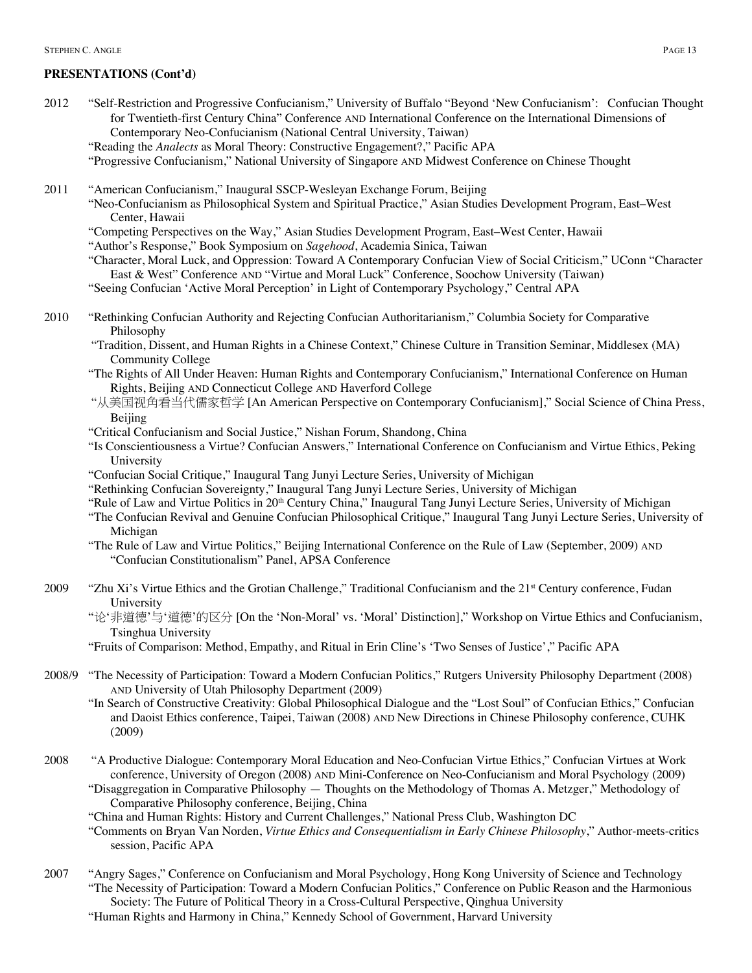- 2012 "Self-Restriction and Progressive Confucianism," University of Buffalo "Beyond 'New Confucianism': Confucian Thought for Twentieth-first Century China" Conference AND International Conference on the International Dimensions of Contemporary Neo-Confucianism (National Central University, Taiwan) "Reading the *Analects* as Moral Theory: Constructive Engagement?," Pacific APA "Progressive Confucianism," National University of Singapore AND Midwest Conference on Chinese Thought 2011 "American Confucianism," Inaugural SSCP-Wesleyan Exchange Forum, Beijing "Neo-Confucianism as Philosophical System and Spiritual Practice," Asian Studies Development Program, East–West Center, Hawaii "Competing Perspectives on the Way," Asian Studies Development Program, East–West Center, Hawaii "Author's Response," Book Symposium on *Sagehood*, Academia Sinica, Taiwan "Character, Moral Luck, and Oppression: Toward A Contemporary Confucian View of Social Criticism," UConn "Character East & West" Conference AND "Virtue and Moral Luck" Conference, Soochow University (Taiwan) "Seeing Confucian 'Active Moral Perception' in Light of Contemporary Psychology," Central APA 2010 "Rethinking Confucian Authority and Rejecting Confucian Authoritarianism," Columbia Society for Comparative Philosophy "Tradition, Dissent, and Human Rights in a Chinese Context," Chinese Culture in Transition Seminar, Middlesex (MA) Community College "The Rights of All Under Heaven: Human Rights and Contemporary Confucianism," International Conference on Human Rights, Beijing AND Connecticut College AND Haverford College "从美国视角看当代儒家哲学 [An American Perspective on Contemporary Confucianism]," Social Science of China Press, Beijing "Critical Confucianism and Social Justice," Nishan Forum, Shandong, China "Is Conscientiousness a Virtue? Confucian Answers," International Conference on Confucianism and Virtue Ethics, Peking University "Confucian Social Critique," Inaugural Tang Junyi Lecture Series, University of Michigan "Rethinking Confucian Sovereignty," Inaugural Tang Junyi Lecture Series, University of Michigan "Rule of Law and Virtue Politics in 20<sup>th</sup> Century China," Inaugural Tang Junyi Lecture Series, University of Michigan
	- "The Confucian Revival and Genuine Confucian Philosophical Critique," Inaugural Tang Junyi Lecture Series, University of Michigan
	- "The Rule of Law and Virtue Politics," Beijing International Conference on the Rule of Law (September, 2009) AND "Confucian Constitutionalism" Panel, APSA Conference
- 2009 "Zhu Xi's Virtue Ethics and the Grotian Challenge," Traditional Confucianism and the 21<sup>st</sup> Century conference, Fudan University
	- "论'非道德'与'道德'的区分 [On the 'Non-Moral' vs. 'Moral' Distinction]," Workshop on Virtue Ethics and Confucianism, Tsinghua University

"Fruits of Comparison: Method, Empathy, and Ritual in Erin Cline's 'Two Senses of Justice'," Pacific APA

- 2008/9 "The Necessity of Participation: Toward a Modern Confucian Politics," Rutgers University Philosophy Department (2008) AND University of Utah Philosophy Department (2009)
	- "In Search of Constructive Creativity: Global Philosophical Dialogue and the "Lost Soul" of Confucian Ethics," Confucian and Daoist Ethics conference, Taipei, Taiwan (2008) AND New Directions in Chinese Philosophy conference, CUHK (2009)
- 2008 "A Productive Dialogue: Contemporary Moral Education and Neo-Confucian Virtue Ethics," Confucian Virtues at Work conference, University of Oregon (2008) AND Mini-Conference on Neo-Confucianism and Moral Psychology (2009) "Disaggregation in Comparative Philosophy — Thoughts on the Methodology of Thomas A. Metzger," Methodology of Comparative Philosophy conference, Beijing, China

"China and Human Rights: History and Current Challenges," National Press Club, Washington DC

"Comments on Bryan Van Norden, *Virtue Ethics and Consequentialism in Early Chinese Philosophy*," Author-meets-critics session, Pacific APA

2007 "Angry Sages," Conference on Confucianism and Moral Psychology, Hong Kong University of Science and Technology "The Necessity of Participation: Toward a Modern Confucian Politics," Conference on Public Reason and the Harmonious Society: The Future of Political Theory in a Cross-Cultural Perspective, Qinghua University "Human Rights and Harmony in China," Kennedy School of Government, Harvard University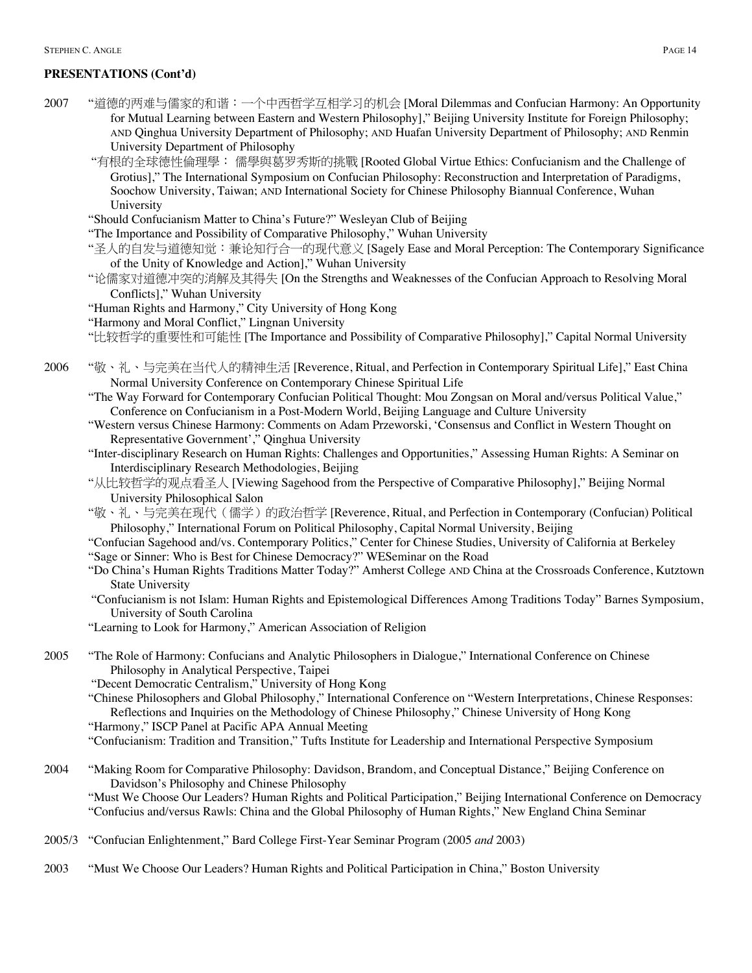- 2007 "道德的两难与儒家的和谐:一个中西哲学互相学习的机会 [Moral Dilemmas and Confucian Harmony: An Opportunity for Mutual Learning between Eastern and Western Philosophy]," Beijing University Institute for Foreign Philosophy; AND Qinghua University Department of Philosophy; AND Huafan University Department of Philosophy; AND Renmin University Department of Philosophy
	- "有根的全球德性倫理學: 儒學與葛罗秀斯的挑戰 [Rooted Global Virtue Ethics: Confucianism and the Challenge of Grotius]," The International Symposium on Confucian Philosophy: Reconstruction and Interpretation of Paradigms, Soochow University, Taiwan; AND International Society for Chinese Philosophy Biannual Conference, Wuhan University
	- "Should Confucianism Matter to China's Future?" Wesleyan Club of Beijing
	- "The Importance and Possibility of Comparative Philosophy," Wuhan University
	- "圣人的自发与道德知觉:兼论知行合一的现代意义 [Sagely Ease and Moral Perception: The Contemporary Significance of the Unity of Knowledge and Action]," Wuhan University
	- "论儒家对道德冲突的消解及其得失 [On the Strengths and Weaknesses of the Confucian Approach to Resolving Moral Conflicts]," Wuhan University
	- "Human Rights and Harmony," City University of Hong Kong
	- "Harmony and Moral Conflict," Lingnan University
	- "比较哲学的重要性和可能性 [The Importance and Possibility of Comparative Philosophy]," Capital Normal University
- 2006 "敬、礼、与完美在当代人的精神生活 [Reverence, Ritual, and Perfection in Contemporary Spiritual Life]," East China Normal University Conference on Contemporary Chinese Spiritual Life
	- "The Way Forward for Contemporary Confucian Political Thought: Mou Zongsan on Moral and/versus Political Value," Conference on Confucianism in a Post-Modern World, Beijing Language and Culture University
	- "Western versus Chinese Harmony: Comments on Adam Przeworski, 'Consensus and Conflict in Western Thought on Representative Government'," Qinghua University
	- "Inter-disciplinary Research on Human Rights: Challenges and Opportunities," Assessing Human Rights: A Seminar on Interdisciplinary Research Methodologies, Beijing
	- "从比较哲学的观点看圣人 [Viewing Sagehood from the Perspective of Comparative Philosophy]," Beijing Normal University Philosophical Salon
	- "敬、礼、与完美在现代(儒学)的政治哲学 [Reverence, Ritual, and Perfection in Contemporary (Confucian) Political Philosophy," International Forum on Political Philosophy, Capital Normal University, Beijing
	- "Confucian Sagehood and/vs. Contemporary Politics," Center for Chinese Studies, University of California at Berkeley "Sage or Sinner: Who is Best for Chinese Democracy?" WESeminar on the Road
	- "Do China's Human Rights Traditions Matter Today?" Amherst College AND China at the Crossroads Conference, Kutztown State University
	- "Confucianism is not Islam: Human Rights and Epistemological Differences Among Traditions Today" Barnes Symposium, University of South Carolina
	- "Learning to Look for Harmony," American Association of Religion
- 2005 "The Role of Harmony: Confucians and Analytic Philosophers in Dialogue," International Conference on Chinese Philosophy in Analytical Perspective, Taipei
	- "Decent Democratic Centralism," University of Hong Kong
	- "Chinese Philosophers and Global Philosophy," International Conference on "Western Interpretations, Chinese Responses: Reflections and Inquiries on the Methodology of Chinese Philosophy," Chinese University of Hong Kong
	- "Harmony," ISCP Panel at Pacific APA Annual Meeting
	- "Confucianism: Tradition and Transition," Tufts Institute for Leadership and International Perspective Symposium
- 2004 "Making Room for Comparative Philosophy: Davidson, Brandom, and Conceptual Distance," Beijing Conference on Davidson's Philosophy and Chinese Philosophy "Must We Choose Our Leaders? Human Rights and Political Participation," Beijing International Conference on Democracy

"Confucius and/versus Rawls: China and the Global Philosophy of Human Rights," New England China Seminar

- 2005/3 "Confucian Enlightenment," Bard College First-Year Seminar Program (2005 *and* 2003)
- 2003 "Must We Choose Our Leaders? Human Rights and Political Participation in China," Boston University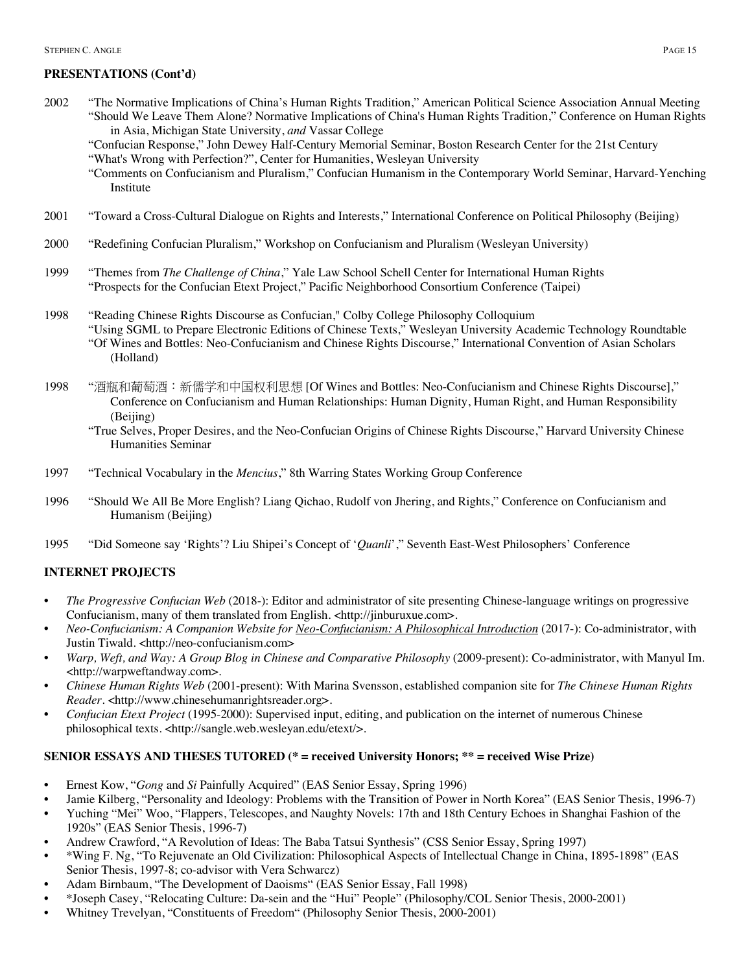- 2002 "The Normative Implications of China's Human Rights Tradition," American Political Science Association Annual Meeting "Should We Leave Them Alone? Normative Implications of China's Human Rights Tradition," Conference on Human Rights in Asia, Michigan State University, *and* Vassar College
	- "Confucian Response," John Dewey Half-Century Memorial Seminar, Boston Research Center for the 21st Century "What's Wrong with Perfection?", Center for Humanities, Wesleyan University
	- "Comments on Confucianism and Pluralism," Confucian Humanism in the Contemporary World Seminar, Harvard-Yenching Institute
- 2001 "Toward a Cross-Cultural Dialogue on Rights and Interests," International Conference on Political Philosophy (Beijing)
- 2000 "Redefining Confucian Pluralism," Workshop on Confucianism and Pluralism (Wesleyan University)
- 1999 "Themes from *The Challenge of China*," Yale Law School Schell Center for International Human Rights "Prospects for the Confucian Etext Project," Pacific Neighborhood Consortium Conference (Taipei)
- 1998 "Reading Chinese Rights Discourse as Confucian," Colby College Philosophy Colloquium "Using SGML to Prepare Electronic Editions of Chinese Texts," Wesleyan University Academic Technology Roundtable "Of Wines and Bottles: Neo-Confucianism and Chinese Rights Discourse," International Convention of Asian Scholars (Holland)
- 1998 "酒瓶和葡萄酒:新儒学和中国权利思想 [Of Wines and Bottles: Neo-Confucianism and Chinese Rights Discourse]," Conference on Confucianism and Human Relationships: Human Dignity, Human Right, and Human Responsibility (Beijing)
	- "True Selves, Proper Desires, and the Neo-Confucian Origins of Chinese Rights Discourse," Harvard University Chinese Humanities Seminar
- 1997 "Technical Vocabulary in the *Mencius*," 8th Warring States Working Group Conference
- 1996 "Should We All Be More English? Liang Qichao, Rudolf von Jhering, and Rights," Conference on Confucianism and Humanism (Beijing)
- 1995 "Did Someone say 'Rights'? Liu Shipei's Concept of '*Quanli*'," Seventh East-West Philosophers' Conference

### **INTERNET PROJECTS**

- *The Progressive Confucian Web* (2018-): Editor and administrator of site presenting Chinese-language writings on progressive Confucianism, many of them translated from English. <http://jinburuxue.com>.
- *Neo-Confucianism: A Companion Website for Neo-Confucianism: A Philosophical Introduction* (2017-): Co-administrator, with Justin Tiwald. <http://neo-confucianism.com>
- *Warp, Weft, and Way: A Group Blog in Chinese and Comparative Philosophy* (2009-present): Co-administrator, with Manyul Im. <http://warpweftandway.com>.
- *Chinese Human Rights Web* (2001-present): With Marina Svensson, established companion site for *The Chinese Human Rights Reader*. <http://www.chinesehumanrightsreader.org>.
- *Confucian Etext Project* (1995-2000): Supervised input, editing, and publication on the internet of numerous Chinese philosophical texts. <http://sangle.web.wesleyan.edu/etext/>.

# **SENIOR ESSAYS AND THESES TUTORED (\* = received University Honors; \*\* = received Wise Prize)**

- Ernest Kow, "*Gong* and *Si* Painfully Acquired" (EAS Senior Essay, Spring 1996)
- Jamie Kilberg, "Personality and Ideology: Problems with the Transition of Power in North Korea" (EAS Senior Thesis, 1996-7)
- Yuching "Mei" Woo, "Flappers, Telescopes, and Naughty Novels: 17th and 18th Century Echoes in Shanghai Fashion of the 1920s" (EAS Senior Thesis, 1996-7)
- Andrew Crawford, "A Revolution of Ideas: The Baba Tatsui Synthesis" (CSS Senior Essay, Spring 1997)
- \*Wing F. Ng, "To Rejuvenate an Old Civilization: Philosophical Aspects of Intellectual Change in China, 1895-1898" (EAS Senior Thesis, 1997-8; co-advisor with Vera Schwarcz)
- Adam Birnbaum, "The Development of Daoisms" (EAS Senior Essay, Fall 1998)
- \*Joseph Casey, "Relocating Culture: Da-sein and the "Hui" People" (Philosophy/COL Senior Thesis, 2000-2001)
- Whitney Trevelyan, "Constituents of Freedom" (Philosophy Senior Thesis, 2000-2001)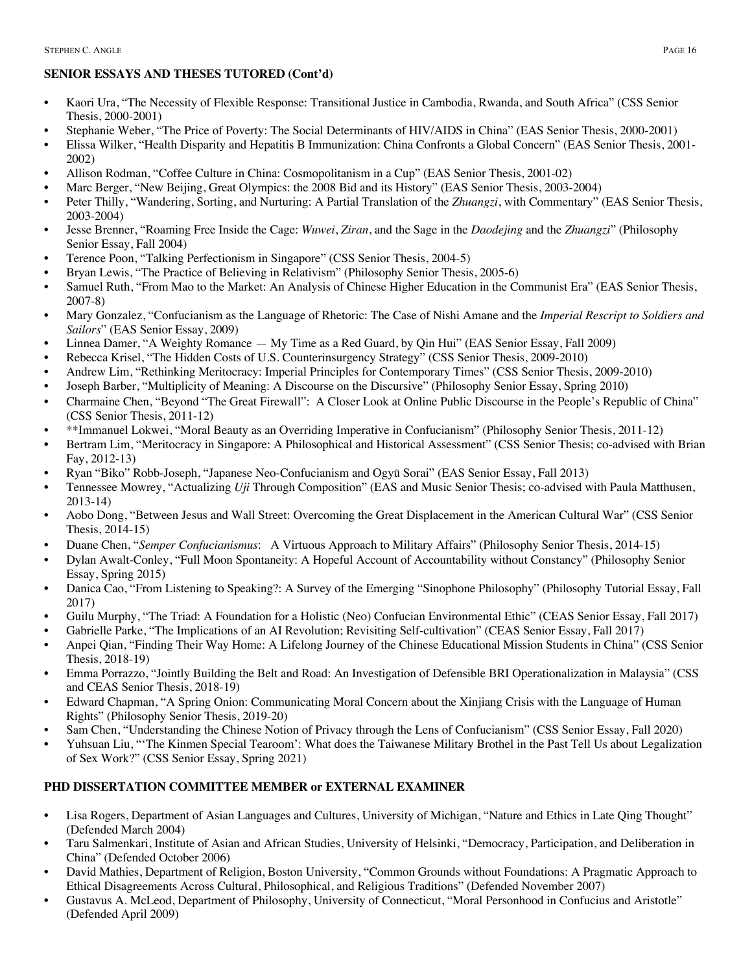# **SENIOR ESSAYS AND THESES TUTORED (Cont'd)**

- Kaori Ura, "The Necessity of Flexible Response: Transitional Justice in Cambodia, Rwanda, and South Africa" (CSS Senior Thesis, 2000-2001)
- Stephanie Weber, "The Price of Poverty: The Social Determinants of HIV/AIDS in China" (EAS Senior Thesis, 2000-2001)
- Elissa Wilker, "Health Disparity and Hepatitis B Immunization: China Confronts a Global Concern" (EAS Senior Thesis, 2001- 2002)
- Allison Rodman, "Coffee Culture in China: Cosmopolitanism in a Cup" (EAS Senior Thesis, 2001-02)
- Marc Berger, "New Beijing, Great Olympics: the 2008 Bid and its History" (EAS Senior Thesis, 2003-2004)
- Peter Thilly, "Wandering, Sorting, and Nurturing: A Partial Translation of the *Zhuangzi*, with Commentary" (EAS Senior Thesis, 2003-2004)
- Jesse Brenner, "Roaming Free Inside the Cage: *Wuwei*, *Ziran*, and the Sage in the *Daodejing* and the *Zhuangzi*" (Philosophy Senior Essay, Fall 2004)
- Terence Poon, "Talking Perfectionism in Singapore" (CSS Senior Thesis, 2004-5)
- Bryan Lewis, "The Practice of Believing in Relativism" (Philosophy Senior Thesis, 2005-6)
- Samuel Ruth, "From Mao to the Market: An Analysis of Chinese Higher Education in the Communist Era" (EAS Senior Thesis, 2007-8)
- Mary Gonzalez, "Confucianism as the Language of Rhetoric: The Case of Nishi Amane and the *Imperial Rescript to Soldiers and Sailors*" (EAS Senior Essay, 2009)
- Linnea Damer, "A Weighty Romance My Time as a Red Guard, by Qin Hui" (EAS Senior Essay, Fall 2009)
- Rebecca Krisel, "The Hidden Costs of U.S. Counterinsurgency Strategy" (CSS Senior Thesis, 2009-2010)
- Andrew Lim, "Rethinking Meritocracy: Imperial Principles for Contemporary Times" (CSS Senior Thesis, 2009-2010)
- Joseph Barber, "Multiplicity of Meaning: A Discourse on the Discursive" (Philosophy Senior Essay, Spring 2010)
- Charmaine Chen, "Beyond "The Great Firewall": A Closer Look at Online Public Discourse in the People's Republic of China" (CSS Senior Thesis, 2011-12)
- \*\*Immanuel Lokwei, "Moral Beauty as an Overriding Imperative in Confucianism" (Philosophy Senior Thesis, 2011-12)
- Bertram Lim, "Meritocracy in Singapore: A Philosophical and Historical Assessment" (CSS Senior Thesis; co-advised with Brian Fay, 2012-13)
- Ryan "Biko" Robb-Joseph, "Japanese Neo-Confucianism and Ogyū Sorai" (EAS Senior Essay, Fall 2013)
- Tennessee Mowrey, "Actualizing *Uji* Through Composition" (EAS and Music Senior Thesis; co-advised with Paula Matthusen, 2013-14)
- Aobo Dong, "Between Jesus and Wall Street: Overcoming the Great Displacement in the American Cultural War" (CSS Senior Thesis, 2014-15)
- Duane Chen, "*Semper Confucianismus*: A Virtuous Approach to Military Affairs" (Philosophy Senior Thesis, 2014-15)
- Dylan Awalt-Conley, "Full Moon Spontaneity: A Hopeful Account of Accountability without Constancy" (Philosophy Senior Essay, Spring 2015)
- Danica Cao, "From Listening to Speaking?: A Survey of the Emerging "Sinophone Philosophy" (Philosophy Tutorial Essay, Fall 2017)
- Guilu Murphy, "The Triad: A Foundation for a Holistic (Neo) Confucian Environmental Ethic" (CEAS Senior Essay, Fall 2017)
- Gabrielle Parke, "The Implications of an AI Revolution; Revisiting Self-cultivation" (CEAS Senior Essay, Fall 2017)
- Anpei Qian, "Finding Their Way Home: A Lifelong Journey of the Chinese Educational Mission Students in China" (CSS Senior Thesis, 2018-19)
- Emma Porrazzo, "Jointly Building the Belt and Road: An Investigation of Defensible BRI Operationalization in Malaysia" (CSS and CEAS Senior Thesis, 2018-19)
- Edward Chapman, "A Spring Onion: Communicating Moral Concern about the Xinjiang Crisis with the Language of Human Rights" (Philosophy Senior Thesis, 2019-20)
- Sam Chen, "Understanding the Chinese Notion of Privacy through the Lens of Confucianism" (CSS Senior Essay, Fall 2020)
- Yuhsuan Liu, "'The Kinmen Special Tearoom': What does the Taiwanese Military Brothel in the Past Tell Us about Legalization of Sex Work?" (CSS Senior Essay, Spring 2021)

# **PHD DISSERTATION COMMITTEE MEMBER or EXTERNAL EXAMINER**

- Lisa Rogers, Department of Asian Languages and Cultures, University of Michigan, "Nature and Ethics in Late Qing Thought" (Defended March 2004)
- Taru Salmenkari, Institute of Asian and African Studies, University of Helsinki, "Democracy, Participation, and Deliberation in China" (Defended October 2006)
- David Mathies, Department of Religion, Boston University, "Common Grounds without Foundations: A Pragmatic Approach to Ethical Disagreements Across Cultural, Philosophical, and Religious Traditions" (Defended November 2007)
- Gustavus A. McLeod, Department of Philosophy, University of Connecticut, "Moral Personhood in Confucius and Aristotle" (Defended April 2009)